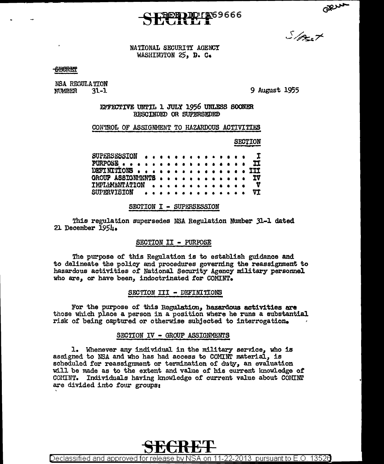## D. LANG 9666

 $5/2.7$ 

NATIONAL SECURITY AGENCY WASHINGTON 25, D. C.

## **SECRET**

NSA REGULATION NUMBER  $31 - 1$ 

9 August 1955

EFFECTIVE UNTIL 1 JULY 1956 UNLESS SOONER RESCINDED OR SUPERSEDED

CONTROL OF ASSIGNMENT TO HAZARDOUS ACTIVITIES

**SECTION** 

SUPERSESSION I PURPOSE... TT DETINITIONS .. 111  $\bullet$ GROUP ASSIGNMINTS ΙV **TMPLEMENTATION** V **SUPERVISION** VT

### SECTION I - SUPERSESSION

This regulation supersedes NSA Regulation Number 31-1 dated 21 December 1954.

## SECTION II - PURPOSE

The purpose of this Regulation is to establish guidance and to delineate the policy and procedures governing the reassignment to hazardous activities of National Security Agency military personnel who are, or have been, indoctrinated for COMINT.

## SECTION III - DEFINITIONS

For the purpose of this Regulation, hazardous activities are those which place a person in a position where he runs a substantial risk of being captured or otherwise subjected to interrogation.

## SECTION IV - GROUP ASSIGNMENTS

1. Whenever any individual in the military service, who is assigned to NSA and who has had access to COMINT material, is scheduled for reassignment or termination of duty, an evaluation will be made as to the extent and value of his current knowledge of COMINT. Individuals having knowledge of current value about COMINT are divided into four groups:

Declassified and approved for release by NSA on 11-22-2013  $\,$  pursuant to E.O. 13526  $\,$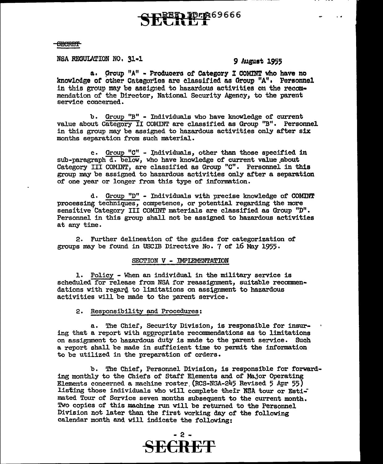# **PER69666**

**SECRET** 

NSA REGULATION NO, 31-1 **9 August 1955** 

 $\sim$   $\sim$ 

a. Group "A" - Producers of Category I COMINT who have no knowledge of other Categories are classified as Group "A". Personnel in this group may be assigned to hazardous activities on the recommendation of the Director, National Security Agency, to the parent service concerned.

b. Group "B" - Individuals who have knowledge of current value about Category II COMINT are classified as Group "B". Personnel in this group may be assigned to hazardous activities only after six months separation from such material.

c. Group "C" - Individuals, other than those specified in  $sub-paragnb\bar{d}$ . below, who have knowledge of current value about Category III COMINT, are classified as Group "C". Personnel in this group may be assigned to hazardous activities only after a separation *ot* one year or longer from this type of information.

d. Group "D" - Individuals with precise lmowledge of COMINT processing techniques, competence, or potential regarding the more sensitive Category III COMINT materials are classified as Group "D". Personnel in this group shall not be assigned to hazardous activities at any time.

2. Further delineation of the guides for categorization or groups may be found in USCIB Directive No. 7 of 16 May 1955·

## SECTION V - IMPIEMENTATION

1. Policy - When an individual in the military service is scheduled for release from NSA for reassignment, suitable recommendations with regard to limitations on assignment to hazardous activities will be made to the parent service.

## 2. Responsibility and Procedures:

a. The Chief, Security Division, is responsible for insuring that a report with appropriate recommendations as to limitations on assignment to hazardous duty is made to the parent service. Such a report shall be made in sufficient time to permit the information to be utilized in the preparation of orders.

b. The Chief, Personnel Division, is responsible for forwarding monthly to the Chiefs of Staff Elements and of Major Operating Elements concerned a machine roster.(RCS-NOA-245 Revised 5 Apr 55) listing those individuals who will complete their NSA tour or Estimated Tour of Service seven months subsequent to the current month. Two copies of this machine run will be returned to the Personnel Division not later than the first working day of" the following calendar month and will indicate the following: